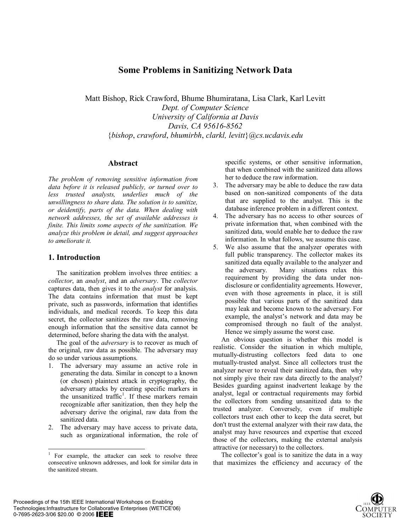# **Some Problems in Sanitizing Network Data**

Matt Bishop, Rick Crawford, Bhume Bhumiratana, Lisa Clark, Karl Levitt *Dept. of Computer Science University of California at Davis Davis, CA 95616-8562*  {*bishop*, *crawford*, *bhumirbh*, *clarkl, levitt*}@*cs.ucdavis.edu*

#### **Abstract**

*The problem of removing sensitive information from data before it is released publicly, or turned over to less trusted analysts, underlies much of the unwillingness to share data. The solution is to sanitize, or deidentify, parts of the data. When dealing with network addresses, the set of available addresses is finite. This limits some aspects of the sanitization. We analyze this problem in detail, and suggest approaches to ameliorate it.* 

#### **1. Introduction**

The sanitization problem involves three entities: a *collector*, an *analyst*, and an *adversary*. The *collector* captures data, then gives it to the *analyst* for analysis. The data contains information that must be kept private, such as passwords, information that identifies individuals, and medical records. To keep this data secret, the collector sanitizes the raw data, removing enough information that the sensitive data cannot be determined, before sharing the data with the analyst.

The goal of the *adversary* is to recover as much of the original, raw data as possible. The adversary may do so under various assumptions.

- 1. The adversary may assume an active role in generating the data. Similar in concept to a known (or chosen) plaintext attack in cryptography, the adversary attacks by creating specific markers in the unsanitized traffic<sup>1</sup>. If these markers remain recognizable after sanitization, then they help the adversary derive the original, raw data from the sanitized data.
- 2. The adversary may have access to private data, such as organizational information, the role of

specific systems, or other sensitive information, that when combined with the sanitized data allows her to deduce the raw information.

- 3. The adversary may be able to deduce the raw data based on non-sanitized components of the data that are supplied to the analyst. This is the database inference problem in a different context.
- 4. The adversary has no access to other sources of private information that, when combined with the sanitized data, would enable her to deduce the raw information. In what follows, we assume this case.
- 5. We also assume that the analyzer operates with full public transparency. The collector makes its sanitized data equally available to the analyzer and the adversary. Many situations relax this requirement by providing the data under nondisclosure or confidentiality agreements. However, even with those agreements in place, it is still possible that various parts of the sanitized data may leak and become known to the adversary. For example, the analyst's network and data may be compromised through no fault of the analyst. Hence we simply assume the worst case.

An obvious question is whether this model is realistic. Consider the situation in which multiple, mutually-distrusting collectors feed data to one mutually-trusted analyst. Since all collectors trust the analyzer never to reveal their sanitized data, then why not simply give their raw data directly to the analyst? Besides guarding against inadvertent leakage by the analyst, legal or contractual requirements may forbid the collectors from sending unsanitized data to the trusted analyzer. Conversely, even if multiple collectors trust each other to keep the data secret, but don't trust the external analyzer with their raw data, the analyst may have resources and expertise that exceed those of the collectors, making the external analysis attractive (or necessary) to the collectors.

The collector's goal is to sanitize the data in a way that maximizes the efficiency and accuracy of the



<sup>&</sup>lt;sup>1</sup> For example, the attacker can seek to resolve three consecutive unknown addresses, and look for similar data in the sanitized stream.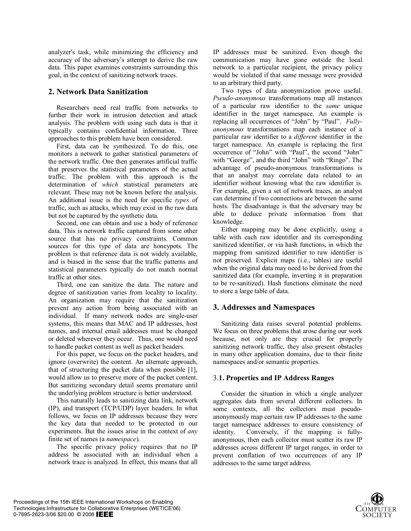analyzer's task, while minimizing the efficiency and accuracy of the adversary's attempt to derive the raw data. This paper examines constraints surrounding this goal, in the context of sanitizing network traces.

## **2. Network Data Sanitization**

Researchers need real traffic from networks to further their work in intrusion detection and attack analysis. The problem with using such data is that it typically contains confidential information. Three approaches to this problem have been considered.

First, data can be synthesized. To do this, one monitors a network to gather statistical parameters of the network traffic. One then generates artificial traffic that preserves the statistical parameters of the actual traffic. The problem with this approach is the determination of *which* statistical parameters are relevant. These may not be known before the analysis. An additional issue is the need for specific *types* of traffic, such as attacks, which may exist in the raw data but not be captured by the synthetic data.

Second, one can obtain and use a body of reference data. This is network traffic captured from some other source that has no privacy constraints. Common sources for this type of data are honeypots. The problem is that reference data is not widely available, and is biased in the sense that the traffic patterns and statistical parameters typically do not match normal traffic at other sites.

Third, one can sanitize the data. The nature and degree of sanitization varies from locality to locality. An organization may require that the sanitization prevent any action from being associated with an individual. If many network nodes are single-user systems, this means that MAC and IP addresses, host names, and internal email addresses must be changed or deleted wherever they occur. Thus, one would need to handle packet content as well as packet headers.

For this paper, we focus on the packet headers, and ignore (overwrite) the content. An alternate approach, that of structuring the packet data when possible [1], would allow us to preserve more of the packet content. But sanitizing secondary detail seems premature until the underlying problem structure is better understood.

This naturally leads to sanitizing data link, network (IP), and transport (TCP/UDP) layer headers. In what follows, we focus on IP addresses because they were the key data that needed to be protected in our experiments. But the issues arise in the context of *any* finite set of names (a *namespace*).

The specific privacy policy requires that no IP address be associated with an individual when a network trace is analyzed. In effect, this means that all IP addresses must be sanitized. Even though the communication may have gone outside the local network to a particular recipient, the privacy policy would be violated if that same message were provided to an arbitrary third party.

Two types of data anonymization prove useful. *Pseudo-anonymous* transformations map all instances of a particular raw identifier to the *same* unique identifier in the target namespace. An example is replacing all occurrences of "John" by "Paul". *Fullyanonymous* transformations map each instance of a particular raw identifier to a *different* identifier in the target namespace. An example is replacing the first occurrence of "John" with "Paul", the second "John" with "George", and the third "John" with "Ringo". The advantage of pseudo-anonymous transformations is that an analyst may correlate data related to an identifier without knowing what the raw identifier is. For example, given a set of network traces, an analyst can determine if two connections are between the same hosts. The disadvantage is that the adversary may be able to deduce private information from that knowledge.

Either mapping may be done explicitly, using a table with each raw identifier and its corresponding sanitized identifier, or via hash functions, in which the mapping from sanitized identifier to raw identifier is not preserved. Explicit maps (i.e., tables) are useful when the original data may need to be derived from the sanitized data (for example, inverting it in preparation to be re-sanitized). Hash functions eliminate the need to store a large table of data.

### **3. Addresses and Namespaces**

Sanitizing data raises several potential problems. We focus on three problems that arose during our work because, not only are they crucial for properly sanitizing network traffic, they also present obstacles in many other application domains, due to their finite namespaces and/or semantic properties.

### 3.**1. Properties and IP Address Ranges**

Consider the situation in which a single analyzer aggregates data from several different collectors. In some contexts, all the collectors must pseudoanonymously map certain raw IP addresses to the same target namespace addresses to ensure consistency of identity. Conversely, if the mapping is fullyanonymous, then each collector must scatter its raw IP addresses across different IP target ranges, in order to prevent conflation of two occurrences of any IP addresses to the same target address.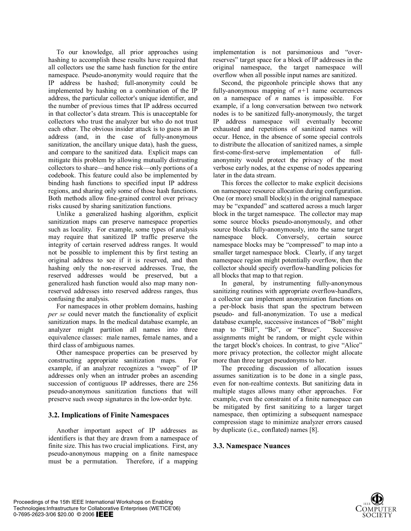To our knowledge, all prior approaches using hashing to accomplish these results have required that all collectors use the same hash function for the entire namespace. Pseudo-anonymity would require that the IP address be hashed; full-anonymity could be implemented by hashing on a combination of the IP address, the particular collector's unique identifier, and the number of previous times that IP address occurred in that collector's data stream. This is unacceptable for collectors who trust the analyzer but who do not trust each other. The obvious insider attack is to guess an IP address (and, in the case of fully-anonymous sanitization, the ancillary unique data), hash the guess, and compare to the sanitized data. Explicit maps can mitigate this problem by allowing mutually distrusting collectors to share—and hence risk—only portions of a codebook. This feature could also be implemented by binding hash functions to specified input IP address regions, and sharing only some of those hash functions. Both methods allow fine-grained control over privacy risks caused by sharing sanitization functions.

Unlike a generalized hashing algorithm, explicit sanitization maps can preserve namespace properties such as locality. For example, some types of analysis may require that sanitized IP traffic preserve the integrity of certain reserved address ranges. It would not be possible to implement this by first testing an original address to see if it is reserved, and then hashing only the non-reserved addresses. True, the reserved addresses would be preserved, but a generalized hash function would also map many nonreserved addresses into reserved address ranges, thus confusing the analysis.

For namespaces in other problem domains, hashing *per se* could never match the functionality of explicit sanitization maps. In the medical database example, an analyzer might partition all names into three equivalence classes: male names, female names, and a third class of ambiguous names.

Other namespace properties can be preserved by constructing appropriate sanitization maps. For example, if an analyzer recognizes a "sweep" of IP addresses only when an intruder probes an ascending succession of contiguous IP addresses, there are 256 pseudo-anonymous sanitization functions that will preserve such sweep signatures in the low-order byte.

### **3.2. Implications of Finite Namespaces**

Another important aspect of IP addresses as identifiers is that they are drawn from a namespace of finite size. This has two crucial implications. First, any pseudo-anonymous mapping on a finite namespace must be a permutation. Therefore, if a mapping implementation is not parsimonious and "overreserves" target space for a block of IP addresses in the original namespace, the target namespace will overflow when all possible input names are sanitized.

Second, the pigeonhole principle shows that any fully-anonymous mapping of  $n+1$  name occurrences on a namespace of *n* names is impossible. For example, if a long conversation between two network nodes is to be sanitized fully-anonymously, the target IP address namespace will eventually become exhausted and repetitions of sanitized names will occur. Hence, in the absence of some special controls to distribute the allocation of sanitized names, a simple first-come-first-serve implementation of fullanonymity would protect the privacy of the most verbose early nodes, at the expense of nodes appearing later in the data stream.

This forces the collector to make explicit decisions on namespace resource allocation during configuration. One (or more) small block(s) in the original namespace may be "expanded" and scattered across a much larger block in the target namespace. The collector may map some source blocks pseudo-anonymously, and other source blocks fully-anonymously, into the same target namespace block. Conversely, certain source namespace blocks may be "compressed" to map into a smaller target namespace block. Clearly, if any target namespace region might potentially overflow, then the collector should specify overflow-handling policies for all blocks that map to that region.

In general, by instrumenting fully-anonymous sanitizing routines with appropriate overflow-handlers, a collector can implement anonymization functions on a per-block basis that span the spectrum between pseudo- and full-anonymization. To use a medical database example, successive instances of "Bob" might map to "Bill", "Bo", or "Bruce". Successive assignments might be random, or might cycle within the target block's choices. In contrast, to give "Alice" more privacy protection, the collector might allocate more than three target pseudonyms to her.

The preceding discussion of allocation issues assumes sanitization is to be done in a single pass, even for non-realtime contexts. But sanitizing data in multiple stages allows many other approaches. For example, even the constraint of a finite namespace can be mitigated by first sanitizing to a larger target namespace, then optimizing a subsequent namespace compression stage to minimize analyzer errors caused by duplicate (i.e., conflated) names [8].

### **3.3. Namespace Nuances**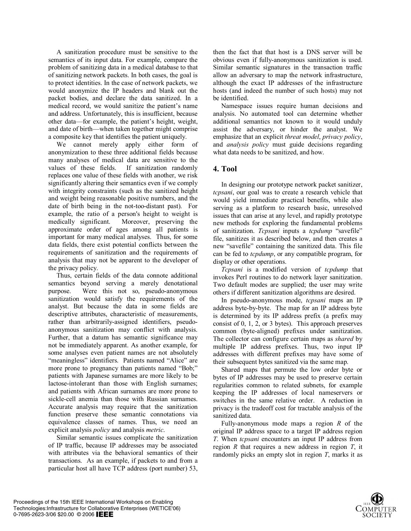A sanitization procedure must be sensitive to the semantics of its input data. For example, compare the problem of sanitizing data in a medical database to that of sanitizing network packets. In both cases, the goal is to protect identities. In the case of network packets, we would anonymize the IP headers and blank out the packet bodies, and declare the data sanitized. In a medical record, we would sanitize the patient's name and address. Unfortunately, this is insufficient, because other data—for example, the patient's height, weight, and date of birth—when taken together might comprise a composite key that identifies the patient uniquely.

We cannot merely apply either form of anonymization to these three additional fields because many analyses of medical data are sensitive to the values of these fields. If sanitization randomly replaces one value of these fields with another, we risk significantly altering their semantics even if we comply with integrity constraints (such as the sanitized height and weight being reasonable positive numbers, and the date of birth being in the not-too-distant past). For example, the ratio of a person's height to weight is medically significant. Moreover, preserving the approximate order of ages among all patients is important for many medical analyses. Thus, for some data fields, there exist potential conflicts between the requirements of sanitization and the requirements of analysis that may not be apparent to the developer of the privacy policy.

Thus, certain fields of the data connote additional semantics beyond serving a merely denotational purpose. Were this not so, pseudo-anonymous sanitization would satisfy the requirements of the analyst. But because the data in some fields are descriptive attributes, characteristic of measurements, rather than arbitrarily-assigned identifiers, pseudoanonymous sanitization may conflict with analysis. Further, that a datum has semantic significance may not be immediately apparent. As another example, for some analyses even patient names are not absolutely "meaningless" identifiers. Patients named "Alice" are more prone to pregnancy than patients named "Bob;" patients with Japanese surnames are more likely to be lactose-intolerant than those with English surnames; and patients with African surnames are more prone to sickle-cell anemia than those with Russian surnames. Accurate analysis may require that the sanitization function preserve these semantic connotations via equivalence classes of names. Thus, we need an explicit analysis *policy* and analysis *metric*.

Similar semantic issues complicate the sanitization of IP traffic, because IP addresses may be associated with attributes via the behavioral semantics of their transactions. As an example, if packets to and from a particular host all have TCP address (port number) 53, then the fact that that host is a DNS server will be obvious even if fully-anonymous sanitization is used. Similar semantic signatures in the transaction traffic allow an adversary to map the network infrastructure, although the exact IP addresses of the infrastructure hosts (and indeed the number of such hosts) may not be identified.

Namespace issues require human decisions and analysis. No automated tool can determine whether additional semantics not known to it would unduly assist the adversary, or hinder the analyst. We emphasize that an explicit *threat model*, *privacy policy*, and *analysis policy* must guide decisions regarding what data needs to be sanitized, and how.

### **4. Tool**

In designing our prototype network packet sanitizer, *tcpsani*, our goal was to create a research vehicle that would yield immediate practical benefits, while also serving as a platform to research basic, unresolved issues that can arise at any level, and rapidly prototype new methods for exploring the fundamental problems of sanitization. *Tcpsani* inputs a *tcpdump* "savefile" file, sanitizes it as described below, and then creates a new "savefile" containing the sanitized data. This file can be fed to *tcpdump*, or any compatible program, for display or other operations.

*Tcpsani* is a modified version of *tcpdump* that invokes Perl routines to do network layer sanitization. Two default modes are supplied; the user may write others if different sanitization algorithms are desired.

In pseudo-anonymous mode, *tcpsani* maps an IP address byte-by-byte. The map for an IP address byte is determined by its IP address prefix (a prefix may consist of 0, 1, 2, or 3 bytes). This approach preserves common (byte-aligned) prefixes under sanitization. The collector can configure certain maps as *shared* by multiple IP address prefixes. Thus, two input IP addresses with different prefixes may have some of their subsequent bytes sanitized via the same map.

Shared maps that permute the low order byte or bytes of IP addresses may be used to preserve certain regularities common to related subnets, for example keeping the IP addresses of local nameservers or switches in the same relative order. A reduction in privacy is the tradeoff cost for tractable analysis of the sanitized data.

Fully-anonymous mode maps a region *R* of the original IP address space to a target IP address region *T*. When *tcpsani* encounters an input IP address from region *R* that requires a new address in region *T*, it randomly picks an empty slot in region *T*, marks it as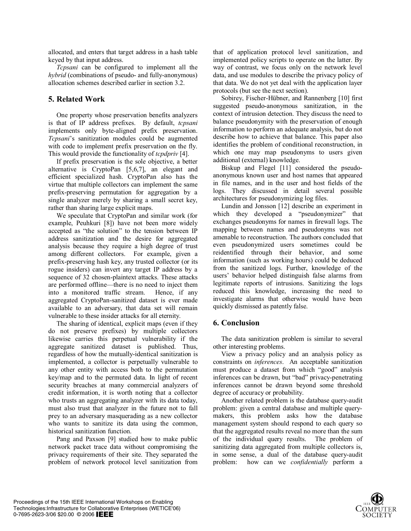allocated, and enters that target address in a hash table keyed by that input address.

*Tcpsani* can be configured to implement all the *hybrid* (combinations of pseudo- and fully-anonymous) allocation schemes described earlier in section 3.2.

## **5. Related Work**

One property whose preservation benefits analyzers is that of IP address prefixes. By default, *tcpsani* implements only byte-aligned prefix preservation. *Tcpsani*'s sanitization modules could be augmented with code to implement prefix preservation on the fly. This would provide the functionality of *tcpdpriv* [4].

If prefix preservation is the sole objective, a better alternative is CryptoPan [5,6,7], an elegant and efficient specialized hash. CryptoPan also has the virtue that multiple collectors can implement the same prefix-preserving permutation for aggregation by a single analyzer merely by sharing a small secret key, rather than sharing large explicit maps.

We speculate that CryptoPan and similar work (for example, Peuhkuri [8]) have not been more widely accepted as "the solution" to the tension between IP address sanitization and the desire for aggregated analysis because they require a high degree of trust among different collectors. For example, given a prefix-preserving hash key, any trusted collector (or its rogue insiders) can invert any target IP address by a sequence of 32 chosen-plaintext attacks. These attacks are performed offline—there is no need to inject them into a monitored traffic stream. Hence, if any aggregated CryptoPan-sanitized dataset is ever made available to an adversary, that data set will remain vulnerable to these insider attacks for all eternity.

The sharing of identical, explicit maps (even if they do not preserve prefixes) by multiple collectors likewise carries this perpetual vulnerability if the aggregate sanitized dataset is published. Thus, regardless of how the mutually-identical sanitization is implemented, a collector is perpetually vulnerable to any other entity with access both to the permutation key/map and to the permuted data. In light of recent security breaches at many commercial analyzers of credit information, it is worth noting that a collector who trusts an aggregating analyzer with its data today, must also trust that analyzer in the future not to fall prey to an adversary masquerading as a new collector who wants to sanitize its data using the common, historical sanitization function.

Pang and Paxson [9] studied how to make public network packet trace data without compromising the privacy requirements of their site. They separated the problem of network protocol level sanitization from that of application protocol level sanitization, and implemented policy scripts to operate on the latter. By way of contrast, we focus only on the network level data, and use modules to describe the privacy policy of that data. We do not yet deal with the application layer protocols (but see the next section).

Sobirey, Fischer-Hübner, and Rannenberg [10] first suggested pseudo-anonymous sanitization, in the context of intrusion detection. They discuss the need to balance pseudonymity with the preservation of enough information to perform an adequate analysis, but do not describe how to achieve that balance. This paper also identifies the problem of conditional reconstruction, in which one may map pseudonyms to users given additional (external) knowledge.

Biskup and Flegel [11] considered the pseudoanonymous known user and host names that appeared in file names, and in the user and host fields of the logs. They discussed in detail several possible architectures for pseudonymizing log files.

Lundin and Jonsson [12] describe an experiment in which they developed a "pseudonymizer" that exchanges pseudonyms for names in firewall logs. The mapping between names and pseudonyms was not amenable to reconstruction. The authors concluded that even pseudonymized users sometimes could be reidentified through their behavior, and some information (such as working hours) could be deduced from the sanitized logs. Further, knowledge of the users' behavior helped distinguish false alarms from legitimate reports of intrusions. Sanitizing the logs reduced this knowledge, increasing the need to investigate alarms that otherwise would have been quickly dismissed as patently false.

# **6. Conclusion**

The data sanitization problem is similar to several other interesting problems.

View a privacy policy and an analysis policy as constraints on *inferences*. An acceptable sanitization must produce a dataset from which "good" analysis inferences can be drawn, but "bad" privacy-penetrating inferences cannot be drawn beyond some threshold degree of accuracy or probability.

Another related problem is the database query-audit problem: given a central database and multiple querymakers, this problem asks how the database management system should respond to each query so that the aggregated results reveal no more than the sum of the individual query results. The problem of sanitizing data aggregated from multiple collectors is, in some sense, a dual of the database query-audit problem: how can we *confidentially* perform a